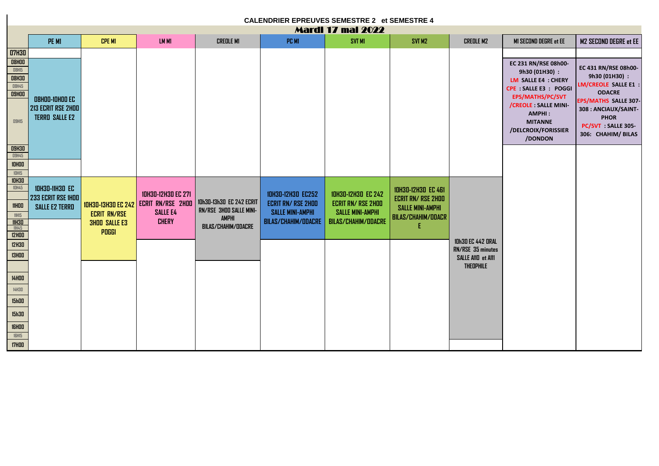| <b>CALENDRIER EPREUVES SEMESTRE 2 et SEMESTRE 4</b> |                                             |                           |                           |                                                            |                           |                            |                           |                                               |                                                                                            |                                                                                |  |  |  |
|-----------------------------------------------------|---------------------------------------------|---------------------------|---------------------------|------------------------------------------------------------|---------------------------|----------------------------|---------------------------|-----------------------------------------------|--------------------------------------------------------------------------------------------|--------------------------------------------------------------------------------|--|--|--|
|                                                     |                                             | <b>Mardi 17 mai 2022</b>  |                           |                                                            |                           |                            |                           |                                               |                                                                                            |                                                                                |  |  |  |
|                                                     | PE M1                                       | <b>CPE M1</b>             | LM M1                     | <b>CREDLE M1</b>                                           | PC M1                     | <b>SVT M1</b>              | SVT M2                    | <b>CREDLE M2</b>                              | <b>MI SECOND DEGRE et EE</b>                                                               | <b>M2 SECOND DEGRE et EE</b>                                                   |  |  |  |
| <b>07H3D</b>                                        |                                             |                           |                           |                                                            |                           |                            |                           |                                               |                                                                                            |                                                                                |  |  |  |
| <b>08H00</b>                                        |                                             |                           |                           |                                                            |                           |                            |                           |                                               | EC 231 RN/RSE 08h00-                                                                       |                                                                                |  |  |  |
| <b>O8H15</b>                                        |                                             |                           |                           |                                                            |                           |                            |                           |                                               | 9h30 (01H30):                                                                              | EC 431 RN/RSE 08h00-<br>9h30 (01H30) :                                         |  |  |  |
| <b>08H30</b><br><b>O8H45</b>                        |                                             |                           |                           |                                                            |                           |                            |                           |                                               | LM SALLE E4 : CHERY                                                                        | <b>LM/CREOLE SALLE E1:</b>                                                     |  |  |  |
| <b>O9HOO</b>                                        |                                             |                           |                           |                                                            |                           |                            |                           |                                               | CPE : SALLE E3 : POGGI                                                                     | <b>ODACRE</b>                                                                  |  |  |  |
|                                                     | <b>O8HOO-IOHOO EC</b>                       |                           |                           |                                                            |                           |                            |                           |                                               | EPS/MATHS/PC/SVT                                                                           | <b>EPS/MATHS SALLE 307-</b>                                                    |  |  |  |
| <b>O9H15</b>                                        | 213 ECRIT RSE 2HOO<br><b>TERRO SALLE E2</b> |                           |                           |                                                            |                           |                            |                           |                                               | /CREOLE : SALLE MINI-<br><b>AMPHI:</b><br><b>MITANNE</b><br>/DELCROIX/FORISSIER<br>/DONDON | 308 : ANCIAUX/SAINT-<br><b>PHOR</b><br>PC/SVT SALLE 305-<br>306: CHAHIM/ BILAS |  |  |  |
| <b>09H30</b>                                        |                                             |                           |                           |                                                            |                           |                            |                           |                                               |                                                                                            |                                                                                |  |  |  |
| <b>09H45</b>                                        |                                             |                           |                           |                                                            |                           |                            |                           |                                               |                                                                                            |                                                                                |  |  |  |
| $10H00$<br>10H15                                    |                                             |                           |                           |                                                            |                           |                            |                           |                                               |                                                                                            |                                                                                |  |  |  |
| <b>10H30</b>                                        |                                             |                           |                           |                                                            |                           |                            |                           |                                               |                                                                                            |                                                                                |  |  |  |
| <b>10H45</b>                                        | <b>10H30-11H30 EC</b>                       |                           |                           |                                                            |                           |                            | <b>10H30-12H30 EC 461</b> |                                               |                                                                                            |                                                                                |  |  |  |
|                                                     | <b>233 ECRIT RSE IHOO</b>                   |                           | <b>10H30-12H30 EC 271</b> |                                                            | <b>10H30-12H30 EC252</b>  | <b>10H30-12H30 EC 242</b>  | <b>ECRIT RN/ RSE 2HOO</b> |                                               |                                                                                            |                                                                                |  |  |  |
| <b>11HOO</b>                                        | <b>SALLE E2 TERRO</b>                       | <b>10H30-13H30 EC 242</b> | <b>ECRIT RN/RSE 2HOO</b>  | 10h30-13h30 EC 242 ECRIT<br><b>RN/RSE 3HOO SALLE MINI-</b> | <b>ECRIT RN/ RSE 2HOO</b> | <b>ECRIT RN/ RSE 2HOO</b>  | <b>SALLE MINI-AMPHI</b>   |                                               |                                                                                            |                                                                                |  |  |  |
| 11H15                                               |                                             | <b>ECRIT RN/RSE</b>       | <b>SALLE E4</b>           | <b>AMPHI</b>                                               | <b>SALLE MINI-AMPHI</b>   | <b>SALLE MINI-AMPHI</b>    | <b>BILAS/CHAHIM/ODACR</b> |                                               |                                                                                            |                                                                                |  |  |  |
| <b>11H30</b><br>11H45                               |                                             | <b>3HOO SALLE E3</b>      | <b>CHERY</b>              | BILAS/CHAHIM/ODACRE                                        | BILAS/CHAHIM/ODACRE       | <b>BILAS/CHAHIM/ODACRE</b> |                           |                                               |                                                                                            |                                                                                |  |  |  |
| <b>12HOO</b>                                        |                                             | POGGI                     |                           |                                                            |                           |                            |                           |                                               |                                                                                            |                                                                                |  |  |  |
| <b>12H3D</b>                                        |                                             |                           |                           |                                                            |                           |                            |                           | <b>10h30 EC 442 ORAL</b><br>RN/RSE 35 minutes |                                                                                            |                                                                                |  |  |  |
| <b>13HDD</b>                                        |                                             |                           |                           |                                                            |                           |                            |                           | SALLE A110 et A111                            |                                                                                            |                                                                                |  |  |  |
|                                                     |                                             |                           |                           |                                                            |                           |                            |                           | <b>THEOPHILE</b>                              |                                                                                            |                                                                                |  |  |  |
| <b>14HOO</b>                                        |                                             |                           |                           |                                                            |                           |                            |                           |                                               |                                                                                            |                                                                                |  |  |  |
|                                                     |                                             |                           |                           |                                                            |                           |                            |                           |                                               |                                                                                            |                                                                                |  |  |  |
| 14H3D                                               |                                             |                           |                           |                                                            |                           |                            |                           |                                               |                                                                                            |                                                                                |  |  |  |
| <b>15h00</b>                                        |                                             |                           |                           |                                                            |                           |                            |                           |                                               |                                                                                            |                                                                                |  |  |  |
| <b>15h30</b>                                        |                                             |                           |                           |                                                            |                           |                            |                           |                                               |                                                                                            |                                                                                |  |  |  |
| <b>IGHOD</b>                                        |                                             |                           |                           |                                                            |                           |                            |                           |                                               |                                                                                            |                                                                                |  |  |  |
| <b>16H15</b>                                        |                                             |                           |                           |                                                            |                           |                            |                           |                                               |                                                                                            |                                                                                |  |  |  |
| <b>17HOO</b>                                        |                                             |                           |                           |                                                            |                           |                            |                           |                                               |                                                                                            |                                                                                |  |  |  |